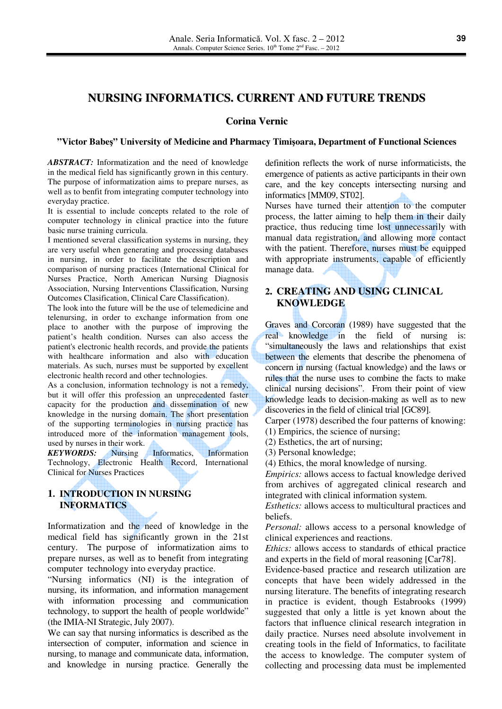# **NURSING INFORMATICS. CURRENT AND FUTURE TRENDS**

### **Corina Vernic**

#### **"Victor Babe**ş**" University of Medicine and Pharmacy Timi**ş**oara, Department of Functional Sciences**

*ABSTRACT:* Informatization and the need of knowledge in the medical field has significantly grown in this century. The purpose of informatization aims to prepare nurses, as well as to benfit from integrating computer technology into everyday practice.

It is essential to include concepts related to the role of computer technology in clinical practice into the future basic nurse training curricula.

I mentioned several classification systems in nursing, they are very useful when generating and processing databases in nursing, in order to facilitate the description and comparison of nursing practices (International Clinical for Nurses Practice, North American Nursing Diagnosis Association, Nursing Interventions Classification, Nursing Outcomes Clasification, Clinical Care Classification).

The look into the future will be the use of telemedicine and telenursing, in order to exchange information from one place to another with the purpose of improving the patient's health condition. Nurses can also access the patient's electronic health records, and provide the patients with healthcare information and also with education materials. As such, nurses must be supported by excellent electronic health record and other technologies.

As a conclusion, information technology is not a remedy, but it will offer this profession an unprecedented faster capacity for the production and dissemination of new knowledge in the nursing domain. The short presentation of the supporting terminologies in nursing practice has introduced more of the information management tools, used by nurses in their work.

*KEYWORDS:* Nursing Informatics, Information Technology, Electronic Health Record, International Clinical for Nurses Practices

## **1. INTRODUCTION IN NURSING INFORMATICS**

Informatization and the need of knowledge in the medical field has significantly grown in the 21st century. The purpose of informatization aims to prepare nurses, as well as to benefit from integrating computer technology into everyday practice.

"Nursing informatics (NI) is the integration of nursing, its information, and information management with information processing and communication technology, to support the health of people worldwide" (the IMIA-NI Strategic, July 2007).

We can say that nursing informatics is described as the intersection of computer, information and science in nursing, to manage and communicate data, information, and knowledge in nursing practice. Generally the definition reflects the work of nurse informaticists, the emergence of patients as active participants in their own care, and the key concepts intersecting nursing and informatics [MM09, ST02].

Nurses have turned their attention to the computer process, the latter aiming to help them in their daily practice, thus reducing time lost unnecessarily with manual data registration, and allowing more contact with the patient. Therefore, nurses must be equipped with appropriate instruments, capable of efficiently manage data.

# **2. CREATING AND USING CLINICAL KNOWLEDGE**

Graves and Corcoran (1989) have suggested that the real knowledge in the field of nursing is: "simultaneously the laws and relationships that exist between the elements that describe the phenomena of concern in nursing (factual knowledge) and the laws or rules that the nurse uses to combine the facts to make clinical nursing decisions". From their point of view knowledge leads to decision-making as well as to new discoveries in the field of clinical trial [GC89].

Carper (1978) described the four patterns of knowing:

- (1) Empirics, the science of nursing;
- (2) Esthetics, the art of nursing;
- (3) Personal knowledge;

(4) Ethics, the moral knowledge of nursing.

*Empirics:* allows access to factual knowledge derived from archives of aggregated clinical research and integrated with clinical information system.

*Esthetics:* allows access to multicultural practices and beliefs.

*Personal:* allows access to a personal knowledge of clinical experiences and reactions.

*Ethics:* allows access to standards of ethical practice and experts in the field of moral reasoning [Car78].

Evidence-based practice and research utilization are concepts that have been widely addressed in the nursing literature. The benefits of integrating research in practice is evident, though Estabrooks (1999) suggested that only a little is yet known about the factors that influence clinical research integration in daily practice. Nurses need absolute involvement in creating tools in the field of Informatics, to facilitate the access to knowledge. The computer system of collecting and processing data must be implemented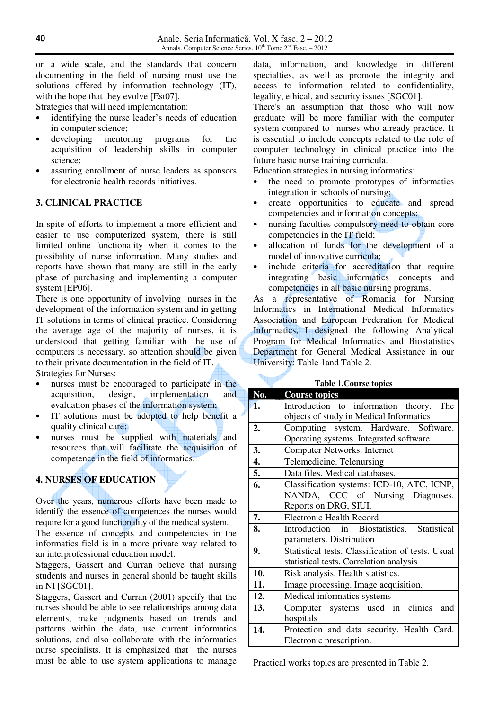on a wide scale, and the standards that concern documenting in the field of nursing must use the solutions offered by information technology (IT), with the hope that they evolve [Est07].

Strategies that will need implementation:

- identifying the nurse leader's needs of education in computer science;
- developing mentoring programs for the acquisition of leadership skills in computer science;
- assuring enrollment of nurse leaders as sponsors for electronic health records initiatives.

# **3. CLINICAL PRACTICE**

In spite of efforts to implement a more efficient and easier to use computerized system, there is still limited online functionality when it comes to the possibility of nurse information. Many studies and reports have shown that many are still in the early phase of purchasing and implementing a computer system [EP06].

There is one opportunity of involving nurses in the development of the information system and in getting IT solutions in terms of clinical practice. Considering the average age of the majority of nurses, it is understood that getting familiar with the use of computers is necessary, so attention should be given to their private documentation in the field of IT.

Strategies for Nurses:

- nurses must be encouraged to participate in the acquisition, design, implementation and evaluation phases of the information system;
- IT solutions must be adopted to help benefit a quality clinical care;
- nurses must be supplied with materials and resources that will facilitate the acquisition of competence in the field of informatics.

### **4. NURSES OF EDUCATION**

Over the years, numerous efforts have been made to identify the essence of competences the nurses would require for a good functionality of the medical system.

The essence of concepts and competencies in the informatics field is in a more private way related to an interprofessional education model.

Staggers, Gassert and Curran believe that nursing students and nurses in general should be taught skills in NI [SGC01].

Staggers, Gassert and Curran (2001) specify that the nurses should be able to see relationships among data elements, make judgments based on trends and patterns within the data, use current informatics solutions, and also collaborate with the informatics nurse specialists. It is emphasized that the nurses must be able to use system applications to manage

data, information, and knowledge in different specialties, as well as promote the integrity and access to information related to confidentiality, legality, ethical, and security issues [SGC01].

There's an assumption that those who will now graduate will be more familiar with the computer system compared to nurses who already practice. It is essential to include concepts related to the role of computer technology in clinical practice into the future basic nurse training curricula.

Education strategies in nursing informatics:

- the need to promote prototypes of informatics integration in schools of nursing;
- create opportunities to educate and spread competencies and information concepts;
- nursing faculties compulsory need to obtain core competencies in the IT field;
- allocation of funds for the development of a model of innovative curricula;
- include criteria for accreditation that require integrating basic informatics concepts and competencies in all basic nursing programs.

As a representative of Romania for Nursing Informatics in International Medical Informatics Association and European Federation for Medical Informatics, I designed the following Analytical Program for Medical Informatics and Biostatistics Department for General Medical Assistance in our University: Table 1and Table 2.

#### **Table 1.Course topics**

| No. | <b>Course topics</b>                              |
|-----|---------------------------------------------------|
| 1.  | Introduction to information theory.<br>The        |
|     | objects of study in Medical Informatics           |
| 2.  | Computing system. Hardware. Software.             |
|     | Operating systems. Integrated software            |
| 3.  | Computer Networks. Internet                       |
| 4.  | Telemedicine. Telenursing                         |
| 5.  | Data files. Medical databases.                    |
| 6.  | Classification systems: ICD-10, ATC, ICNP,        |
|     | NANDA, CCC of Nursing Diagnoses.                  |
|     | Reports on DRG, SIUI.                             |
| 7.  | <b>Electronic Health Record</b>                   |
| 8.  | Introduction in Biostatistics. Statistical        |
|     | parameters. Distribution                          |
| 9.  | Statistical tests. Classification of tests. Usual |
|     | statistical tests. Correlation analysis           |
| 10. | Risk analysis. Health statistics.                 |
| 11. | Image processing. Image acquisition.              |
| 12. | Medical informatics systems                       |
| 13. | Computer systems used in clinics<br>and           |
|     | hospitals                                         |
| 14. | Protection and data security. Health Card.        |
|     | Electronic prescription.                          |

Practical works topics are presented in Table 2.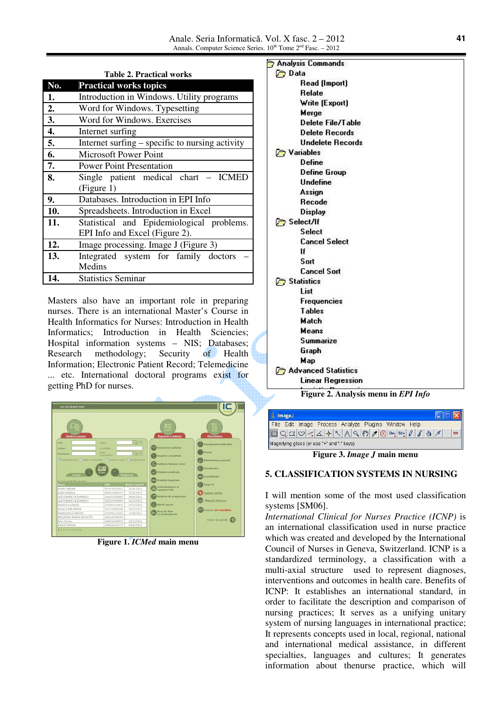| <b>Table 2. Practical works</b> |                                                                             |  |
|---------------------------------|-----------------------------------------------------------------------------|--|
| No.                             | <b>Practical works topics</b>                                               |  |
| 1.                              | Introduction in Windows. Utility programs                                   |  |
| 2.                              | Word for Windows. Typesetting                                               |  |
| 3.                              | Word for Windows. Exercises                                                 |  |
| 4.                              | Internet surfing                                                            |  |
| 5.                              | Internet surfing – specific to nursing activity                             |  |
| 6.                              | <b>Microsoft Power Point</b>                                                |  |
| 7.                              | <b>Power Point Presentation</b>                                             |  |
| 8.                              | Single patient medical chart – ICMED<br>(Figure 1)                          |  |
| 9.                              | Databases. Introduction in EPI Info                                         |  |
| 10.                             | Spreadsheets. Introduction in Excel                                         |  |
| 11.                             | Statistical and Epidemiological problems.<br>EPI Info and Excel (Figure 2). |  |
| 12.                             | Image processing. Image J (Figure 3)                                        |  |
| 13.                             | Integrated system for family doctors<br>Medins                              |  |
| 14.                             | <b>Statistics Seminar</b>                                                   |  |

Masters also have an important role in preparing nurses. There is an international Master's Course in Health Informatics for Nurses: Introduction in Health Informatics; Introduction in Health Sciencies; Hospital information systems – NIS; Databases; Research methodology; Security of Health Information; Electronic Patient Record; Telemedicine ... etc. International doctoral programs exist for getting PhD for nurses.



**Figure 1.** *ICMed* **main menu**



**Figure 2. Analysis menu in** *EPI Info*

| <b>ImageJ</b>                                                          |    |
|------------------------------------------------------------------------|----|
| File Edit Image Process Analyze Plugins Window Help                    |    |
| $\Box Q Q \bigcirc A  +  A A Q \bigcirc B Q \bigcirc S^{\text{tt}} f $ | 西里 |
| Magnifying glass (or use "+" and "-" keys)                             |    |

**Figure 3.** *Image J* **main menu** 

## **5. CLASSIFICATION SYSTEMS IN NURSING**

I will mention some of the most used classification systems [SM06].

*International Clinical for Nurses Practice (ICNP)* is an international classification used in nurse practice which was created and developed by the International Council of Nurses in Geneva, Switzerland. ICNP is a standardized terminology, a classification with a multi-axial structure used to represent diagnoses, interventions and outcomes in health care. Benefits of ICNP: It establishes an international standard, in order to facilitate the description and comparison of nursing practices; It serves as a unifying unitary system of nursing languages in international practice; It represents concepts used in local, regional, national and international medical assistance, in different specialties, languages and cultures; It generates information about thenurse practice, which will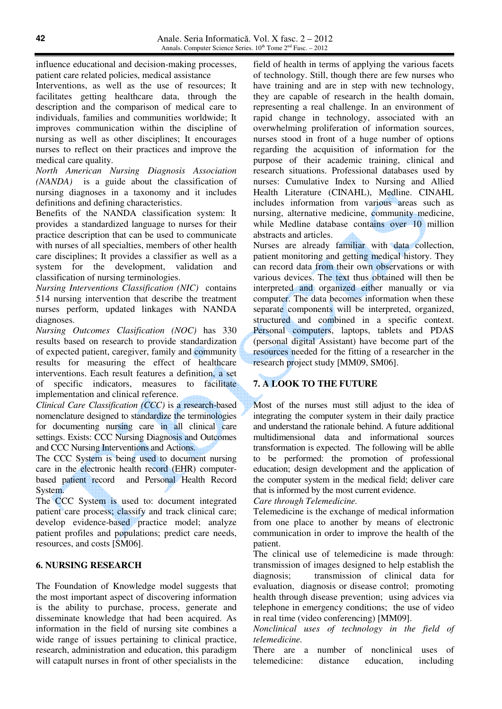influence educational and decision-making processes, patient care related policies, medical assistance

Interventions, as well as the use of resources; It facilitates getting healthcare data, through the description and the comparison of medical care to individuals, families and communities worldwide; It improves communication within the discipline of nursing as well as other disciplines; It encourages nurses to reflect on their practices and improve the medical care quality.

*North American Nursing Diagnosis Association (NANDA)* is a guide about the classification of nursing diagnoses in a taxonomy and it includes definitions and defining characteristics.

Benefits of the NANDA classification system: It provides a standardized language to nurses for their practice description that can be used to communicate with nurses of all specialties, members of other health care disciplines; It provides a classifier as well as a system for the development, validation and classification of nursing terminologies.

*Nursing Interventions Classification (NIC)* contains 514 nursing intervention that describe the treatment nurses perform, updated linkages with NANDA diagnoses.

*Nursing Outcomes Clasification (NOC)* has 330 results based on research to provide standardization of expected patient, caregiver, family and community results for measuring the effect of healthcare interventions. Each result features a definition, a set of specific indicators, measures to facilitate implementation and clinical reference.

*Clinical Care Classification (CCC)* is a research-based nomenclature designed to standardize the terminologies for documenting nursing care in all clinical care settings. Exists: CCC Nursing Diagnosis and Outcomes and CCC Nursing Interventions and Actions.

The CCC System is being used to document nursing care in the electronic health record (EHR) computerbased patient record and Personal Health Record System.

The CCC System is used to: document integrated patient care process; classify and track clinical care; develop evidence-based practice model; analyze patient profiles and populations; predict care needs, resources, and costs [SM06].

### **6. NURSING RESEARCH**

The Foundation of Knowledge model suggests that the most important aspect of discovering information is the ability to purchase, process, generate and disseminate knowledge that had been acquired. As information in the field of nursing site combines a wide range of issues pertaining to clinical practice, research, administration and education, this paradigm will catapult nurses in front of other specialists in the

field of health in terms of applying the various facets of technology. Still, though there are few nurses who have training and are in step with new technology, they are capable of research in the health domain, representing a real challenge. In an environment of rapid change in technology, associated with an overwhelming proliferation of information sources, nurses stood in front of a huge number of options regarding the acquisition of information for the purpose of their academic training, clinical and research situations. Professional databases used by nurses: Cumulative Index to Nursing and Allied Health Literature (CINAHL), Medline. CINAHL includes information from various areas such as nursing, alternative medicine, community medicine, while Medline database contains over 10 million abstracts and articles.

Nurses are already familiar with data collection, patient monitoring and getting medical history. They can record data from their own observations or with various devices. The text thus obtained will then be interpreted and organized either manually or via computer. The data becomes information when these separate components will be interpreted, organized, structured and combined in a specific context. Personal computers, laptops, tablets and PDAS (personal digital Assistant) have become part of the resources needed for the fitting of a researcher in the research project study [MM09, SM06].

# **7. A LOOK TO THE FUTURE**

Most of the nurses must still adjust to the idea of integrating the computer system in their daily practice and understand the rationale behind. A future additional multidimensional data and informational sources transformation is expected. The following will be ablle to be performed: the promotion of professional education; design development and the application of the computer system in the medical field; deliver care that is informed by the most current evidence.

*Care through Telemedicine.* 

Telemedicine is the exchange of medical information from one place to another by means of electronic communication in order to improve the health of the patient.

The clinical use of telemedicine is made through: transmission of images designed to help establish the diagnosis; transmission of clinical data for evaluation, diagnosis or disease control; promoting health through disease prevention; using advices via telephone in emergency conditions; the use of video in real time (video conferencing) [MM09].

*Nonclinical uses of technology in the field of telemedicine.* 

There are a number of nonclinical uses of telemedicine: distance education, including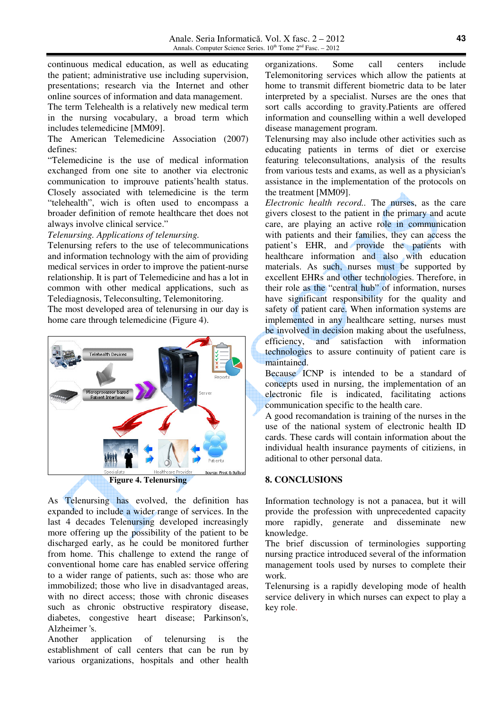continuous medical education, as well as educating the patient; administrative use including supervision, presentations; research via the Internet and other online sources of information and data management.

The term Telehealth is a relatively new medical term in the nursing vocabulary, a broad term which includes telemedicine [MM09].

The American Telemedicine Association (2007) defines:

"Telemedicine is the use of medical information exchanged from one site to another via electronic communication to improuve patients'health status. Closely associated with telemedicine is the term "telehealth", wich is often used to encompass a broader definition of remote healthcare thet does not always involve clinical service."

*Telenursing. Applications of telenursing.* 

Telenursing refers to the use of telecommunications and information technology with the aim of providing medical services in order to improve the patient-nurse relationship. It is part of Telemedicine and has a lot in common with other medical applications, such as Telediagnosis, Teleconsulting, Telemonitoring.

The most developed area of telenursing in our day is home care through telemedicine (Figure 4).



As Telenursing has evolved, the definition has expanded to include a wider range of services. In the last 4 decades Telenursing developed increasingly more offering up the possibility of the patient to be discharged early, as he could be monitored further from home. This challenge to extend the range of conventional home care has enabled service offering to a wider range of patients, such as: those who are immobilized; those who live in disadvantaged areas, with no direct access; those with chronic diseases such as chronic obstructive respiratory disease, diabetes, congestive heart disease; Parkinson's, Alzheimer 's.

Another application of telenursing is the establishment of call centers that can be run by various organizations, hospitals and other health organizations. Some call centers include Telemonitoring services which allow the patients at home to transmit different biometric data to be later interpreted by a specialist. Nurses are the ones that sort calls according to gravity.Patients are offered information and counselling within a well developed disease management program.

Telenursing may also include other activities such as educating patients in terms of diet or exercise featuring teleconsultations, analysis of the results from various tests and exams, as well as a physician's assistance in the implementation of the protocols on the treatment [MM09].

*Electronic health record..* The nurses, as the care givers closest to the patient in the primary and acute care, are playing an active role in communication with patients and their families, they can access the patient's EHR, and provide the patients with healthcare information and also with education materials. As such, nurses must be supported by excellent EHRs and other technologies. Therefore, in their role as the "central hub" of information, nurses have significant responsibility for the quality and safety of patient care. When information systems are implemented in any healthcare setting, nurses must be involved in decision making about the usefulness,<br>efficiency, and satisfaction with information efficiency, and satisfaction technologies to assure continuity of patient care is maintained.

Because ICNP is intended to be a standard of concepts used in nursing, the implementation of an electronic file is indicated, facilitating actions communication specific to the health care.

A good recomandation is training of the nurses in the use of the national system of electronic health ID cards. These cards will contain information about the individual health insurance payments of citiziens, in aditional to other personal data.

### **8. CONCLUSIONS**

Information technology is not a panacea, but it will provide the profession with unprecedented capacity more rapidly, generate and disseminate new knowledge.

The brief discussion of terminologies supporting nursing practice introduced several of the information management tools used by nurses to complete their work.

Telenursing is a rapidly developing mode of health service delivery in which nurses can expect to play a key role.